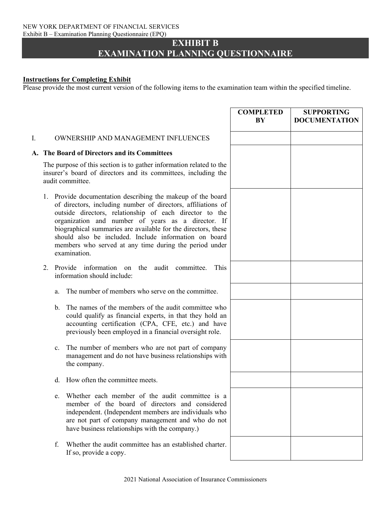#### NEW YORK DEPARTMENT OF FINANCIAL SERVICES Exhibit B – Examination Planning Questionnaire (EPQ)

### **EXHIBIT B EXAMINATION PLANNING QUESTIONNAIRE**

### **Instructions for Completing Exhibit**

Please provide the most current version of the following items to the examination team within the specified timeline.

## **COMPLETED BY SUPPORTING DOCUMENTATION** I. OWNERSHIP AND MANAGEMENT INFLUENCES **A. The Board of Directors and its Committees** The purpose of this section is to gather information related to the insurer's board of directors and its committees, including the audit committee. 1. Provide documentation describing the makeup of the board of directors, including number of directors, affiliations of outside directors, relationship of each director to the organization and number of years as a director. If biographical summaries are available for the directors, these should also be included. Include information on board members who served at any time during the period under examination. 2. Provide information on the audit committee. This information should include: a. The number of members who serve on the committee. b. The names of the members of the audit committee who could qualify as financial experts, in that they hold an accounting certification (CPA, CFE, etc.) and have previously been employed in a financial oversight role. c. The number of members who are not part of company management and do not have business relationships with the company. d. How often the committee meets. e. Whether each member of the audit committee is a member of the board of directors and considered independent. (Independent members are individuals who are not part of company management and who do not have business relationships with the company.) f. Whether the audit committee has an established charter. If so, provide a copy.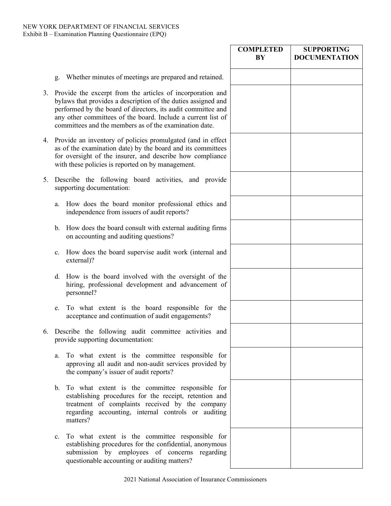|    |                                                                                                                                                                                                                                                                                                                          | <b>COMPLETED</b><br>BY | <b>SUPPORTING</b><br><b>DOCUMENTATION</b> |
|----|--------------------------------------------------------------------------------------------------------------------------------------------------------------------------------------------------------------------------------------------------------------------------------------------------------------------------|------------------------|-------------------------------------------|
|    | Whether minutes of meetings are prepared and retained.<br>g.                                                                                                                                                                                                                                                             |                        |                                           |
|    | 3. Provide the excerpt from the articles of incorporation and<br>bylaws that provides a description of the duties assigned and<br>performed by the board of directors, its audit committee and<br>any other committees of the board. Include a current list of<br>committees and the members as of the examination date. |                        |                                           |
|    | 4. Provide an inventory of policies promulgated (and in effect<br>as of the examination date) by the board and its committees<br>for oversight of the insurer, and describe how compliance<br>with these policies is reported on by management.                                                                          |                        |                                           |
| 5. | Describe the following board activities, and provide<br>supporting documentation:                                                                                                                                                                                                                                        |                        |                                           |
|    | How does the board monitor professional ethics and<br>a.<br>independence from issuers of audit reports?                                                                                                                                                                                                                  |                        |                                           |
|    | How does the board consult with external auditing firms<br>$\mathbf{b}$ .<br>on accounting and auditing questions?                                                                                                                                                                                                       |                        |                                           |
|    | c. How does the board supervise audit work (internal and<br>external)?                                                                                                                                                                                                                                                   |                        |                                           |
|    | d. How is the board involved with the oversight of the<br>hiring, professional development and advancement of<br>personnel?                                                                                                                                                                                              |                        |                                           |
|    | To what extent is the board responsible for the<br>e.<br>acceptance and continuation of audit engagements?                                                                                                                                                                                                               |                        |                                           |
|    | 6. Describe the following audit committee activities and<br>provide supporting documentation:                                                                                                                                                                                                                            |                        |                                           |
|    | To what extent is the committee responsible for<br>a.<br>approving all audit and non-audit services provided by<br>the company's issuer of audit reports?                                                                                                                                                                |                        |                                           |
|    | b. To what extent is the committee responsible for<br>establishing procedures for the receipt, retention and<br>treatment of complaints received by the company<br>regarding accounting, internal controls or auditing<br>matters?                                                                                       |                        |                                           |
|    | To what extent is the committee responsible for<br>c.<br>establishing procedures for the confidential, anonymous<br>submission by employees of concerns regarding<br>questionable accounting or auditing matters?                                                                                                        |                        |                                           |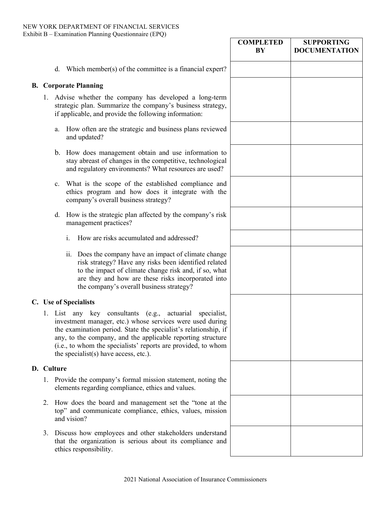|    |             |                                                                                                                                                                                                                                                                                                                                                                   | <b>COMPLETED</b><br>BY | <b>SUPPORTING</b><br><b>DOCUMENTATION</b> |
|----|-------------|-------------------------------------------------------------------------------------------------------------------------------------------------------------------------------------------------------------------------------------------------------------------------------------------------------------------------------------------------------------------|------------------------|-------------------------------------------|
|    | d.          | Which member(s) of the committee is a financial expert?                                                                                                                                                                                                                                                                                                           |                        |                                           |
|    |             | <b>B.</b> Corporate Planning                                                                                                                                                                                                                                                                                                                                      |                        |                                           |
|    |             | 1. Advise whether the company has developed a long-term<br>strategic plan. Summarize the company's business strategy,<br>if applicable, and provide the following information:                                                                                                                                                                                    |                        |                                           |
|    | a.          | How often are the strategic and business plans reviewed<br>and updated?                                                                                                                                                                                                                                                                                           |                        |                                           |
|    |             | b. How does management obtain and use information to<br>stay abreast of changes in the competitive, technological<br>and regulatory environments? What resources are used?                                                                                                                                                                                        |                        |                                           |
|    | $c_{\cdot}$ | What is the scope of the established compliance and<br>ethics program and how does it integrate with the<br>company's overall business strategy?                                                                                                                                                                                                                  |                        |                                           |
|    | d.          | How is the strategic plan affected by the company's risk<br>management practices?                                                                                                                                                                                                                                                                                 |                        |                                           |
|    |             | $\mathbf{i}$ .<br>How are risks accumulated and addressed?                                                                                                                                                                                                                                                                                                        |                        |                                           |
|    |             | Does the company have an impact of climate change<br>11.<br>risk strategy? Have any risks been identified related<br>to the impact of climate change risk and, if so, what<br>are they and how are these risks incorporated into<br>the company's overall business strategy?                                                                                      |                        |                                           |
|    |             | C. Use of Specialists                                                                                                                                                                                                                                                                                                                                             |                        |                                           |
|    |             | 1. List any key consultants (e.g., actuarial specialist,<br>investment manager, etc.) whose services were used during<br>the examination period. State the specialist's relationship, if<br>any, to the company, and the applicable reporting structure<br>(i.e., to whom the specialists' reports are provided, to whom<br>the specialist(s) have access, etc.). |                        |                                           |
|    | D. Culture  |                                                                                                                                                                                                                                                                                                                                                                   |                        |                                           |
|    |             | 1. Provide the company's formal mission statement, noting the<br>elements regarding compliance, ethics and values.                                                                                                                                                                                                                                                |                        |                                           |
| 2. |             | How does the board and management set the "tone at the<br>top" and communicate compliance, ethics, values, mission<br>and vision?                                                                                                                                                                                                                                 |                        |                                           |
| 3. |             | Discuss how employees and other stakeholders understand<br>that the organization is serious about its compliance and<br>ethics responsibility.                                                                                                                                                                                                                    |                        |                                           |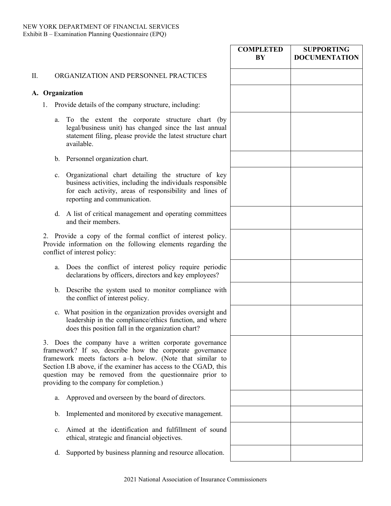# **COMPLETED BY SUPPORTING DOCUMENTATION** II. ORGANIZATION AND PERSONNEL PRACTICES **A. Organization**  1. Provide details of the company structure, including: a. To the extent the corporate structure chart (by legal/business unit) has changed since the last annual statement filing, please provide the latest structure chart available. b. Personnel organization chart. c. Organizational chart detailing the structure of key business activities, including the individuals responsible for each activity, areas of responsibility and lines of reporting and communication. d. A list of critical management and operating committees and their members. 2. Provide a copy of the formal conflict of interest policy. Provide information on the following elements regarding the conflict of interest policy: a. Does the conflict of interest policy require periodic declarations by officers, directors and key employees? b. Describe the system used to monitor compliance with the conflict of interest policy. c. What position in the organization provides oversight and leadership in the compliance/ethics function, and where does this position fall in the organization chart? 3. Does the company have a written corporate governance framework? If so, describe how the corporate governance framework meets factors a–h below. (Note that similar to Section I.B above, if the examiner has access to the CGAD, this question may be removed from the questionnaire prior to providing to the company for completion.) a. Approved and overseen by the board of directors. b. Implemented and monitored by executive management. c. Aimed at the identification and fulfillment of sound ethical, strategic and financial objectives. d. Supported by business planning and resource allocation.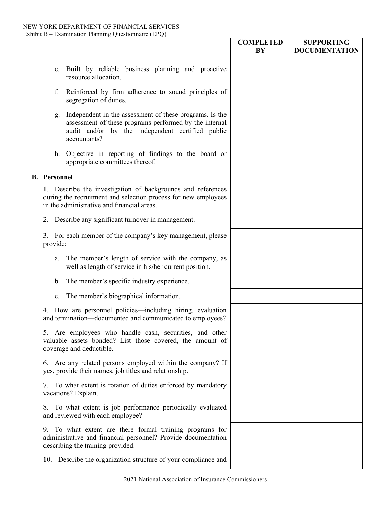|                     |                                                                                                                                                                                       | <b>COMPLETED</b><br>$\mathbf{B}\mathbf{Y}$ | <b>SUPPORTING</b><br><b>DOCUMENTATION</b> |
|---------------------|---------------------------------------------------------------------------------------------------------------------------------------------------------------------------------------|--------------------------------------------|-------------------------------------------|
| e.                  | Built by reliable business planning and proactive<br>resource allocation.                                                                                                             |                                            |                                           |
| f.                  | Reinforced by firm adherence to sound principles of<br>segregation of duties.                                                                                                         |                                            |                                           |
| g.                  | Independent in the assessment of these programs. Is the<br>assessment of these programs performed by the internal<br>audit and/or by the independent certified public<br>accountants? |                                            |                                           |
|                     | h. Objective in reporting of findings to the board or<br>appropriate committees thereof.                                                                                              |                                            |                                           |
| <b>B.</b> Personnel |                                                                                                                                                                                       |                                            |                                           |
|                     | 1. Describe the investigation of backgrounds and references<br>during the recruitment and selection process for new employees<br>in the administrative and financial areas.           |                                            |                                           |
|                     | 2. Describe any significant turnover in management.                                                                                                                                   |                                            |                                           |
| provide:            | 3. For each member of the company's key management, please                                                                                                                            |                                            |                                           |
| a.                  | The member's length of service with the company, as<br>well as length of service in his/her current position.                                                                         |                                            |                                           |
| b.                  | The member's specific industry experience.                                                                                                                                            |                                            |                                           |
| c.                  | The member's biographical information.                                                                                                                                                |                                            |                                           |
| 4.                  | How are personnel policies—including hiring, evaluation<br>and termination—documented and communicated to employees?                                                                  |                                            |                                           |
|                     | 5. Are employees who handle cash, securities, and other<br>valuable assets bonded? List those covered, the amount of<br>coverage and deductible.                                      |                                            |                                           |
|                     | 6. Are any related persons employed within the company? If<br>yes, provide their names, job titles and relationship.                                                                  |                                            |                                           |
|                     | 7. To what extent is rotation of duties enforced by mandatory<br>vacations? Explain.                                                                                                  |                                            |                                           |
| 8.                  | To what extent is job performance periodically evaluated<br>and reviewed with each employee?                                                                                          |                                            |                                           |
| 9.                  | To what extent are there formal training programs for<br>administrative and financial personnel? Provide documentation<br>describing the training provided.                           |                                            |                                           |
|                     | 10. Describe the organization structure of your compliance and                                                                                                                        |                                            |                                           |
|                     |                                                                                                                                                                                       |                                            |                                           |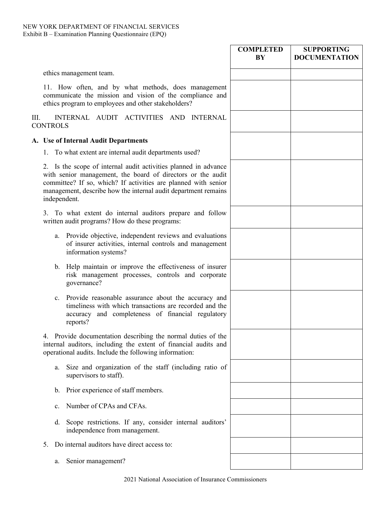|                                                                                                                                                                                                                                                                                    | <b>COMPLETED</b><br>BY | <b>SUPPORTING</b><br><b>DOCUMENTATION</b> |
|------------------------------------------------------------------------------------------------------------------------------------------------------------------------------------------------------------------------------------------------------------------------------------|------------------------|-------------------------------------------|
| ethics management team.                                                                                                                                                                                                                                                            |                        |                                           |
| 11. How often, and by what methods, does management<br>communicate the mission and vision of the compliance and<br>ethics program to employees and other stakeholders?                                                                                                             |                        |                                           |
| INTERNAL AUDIT ACTIVITIES AND INTERNAL<br>Ш.<br><b>CONTROLS</b>                                                                                                                                                                                                                    |                        |                                           |
| A. Use of Internal Audit Departments                                                                                                                                                                                                                                               |                        |                                           |
| 1. To what extent are internal audit departments used?                                                                                                                                                                                                                             |                        |                                           |
| 2. Is the scope of internal audit activities planned in advance<br>with senior management, the board of directors or the audit<br>committee? If so, which? If activities are planned with senior<br>management, describe how the internal audit department remains<br>independent. |                        |                                           |
| 3. To what extent do internal auditors prepare and follow<br>written audit programs? How do these programs:                                                                                                                                                                        |                        |                                           |
| Provide objective, independent reviews and evaluations<br>a.<br>of insurer activities, internal controls and management<br>information systems?                                                                                                                                    |                        |                                           |
| b. Help maintain or improve the effectiveness of insurer<br>risk management processes, controls and corporate<br>governance?                                                                                                                                                       |                        |                                           |
| c. Provide reasonable assurance about the accuracy and<br>timeliness with which transactions are recorded and the<br>accuracy and completeness of financial regulatory<br>reports?                                                                                                 |                        |                                           |
| Provide documentation describing the normal duties of the<br>4.<br>internal auditors, including the extent of financial audits and<br>operational audits. Include the following information:                                                                                       |                        |                                           |
| Size and organization of the staff (including ratio of<br>a.<br>supervisors to staff).                                                                                                                                                                                             |                        |                                           |
| Prior experience of staff members.<br>b.                                                                                                                                                                                                                                           |                        |                                           |
| Number of CPAs and CFAs.<br>c.                                                                                                                                                                                                                                                     |                        |                                           |
| Scope restrictions. If any, consider internal auditors'<br>d.<br>independence from management.                                                                                                                                                                                     |                        |                                           |
| Do internal auditors have direct access to:<br>5.                                                                                                                                                                                                                                  |                        |                                           |
| Senior management?<br>a.                                                                                                                                                                                                                                                           |                        |                                           |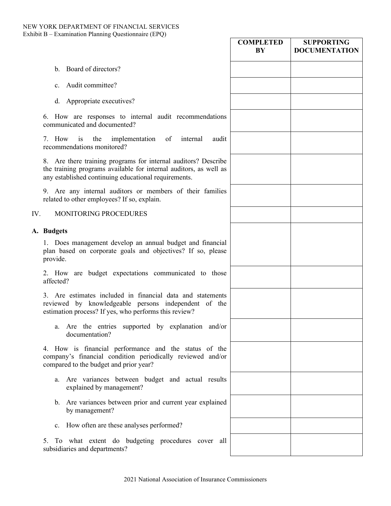### NEW YORK DEPARTMENT OF FINANCIAL SERVICES Exhibit B – Examination Planning Questionnaire (EPQ)

|                                                                                                                                                                                             | <b>COMPLETED</b><br>BY | <b>SUPPORTING</b><br><b>DOCUMENTATION</b> |
|---------------------------------------------------------------------------------------------------------------------------------------------------------------------------------------------|------------------------|-------------------------------------------|
| b. Board of directors?                                                                                                                                                                      |                        |                                           |
| Audit committee?<br>$c_{\cdot}$                                                                                                                                                             |                        |                                           |
| d. Appropriate executives?                                                                                                                                                                  |                        |                                           |
| 6. How are responses to internal audit recommendations<br>communicated and documented?                                                                                                      |                        |                                           |
| implementation<br>7. How<br>the<br>of<br>internal<br>is<br>audit<br>recommendations monitored?                                                                                              |                        |                                           |
| 8. Are there training programs for internal auditors? Describe<br>the training programs available for internal auditors, as well as<br>any established continuing educational requirements. |                        |                                           |
| 9. Are any internal auditors or members of their families<br>related to other employees? If so, explain.                                                                                    |                        |                                           |
| MONITORING PROCEDURES<br>IV.                                                                                                                                                                |                        |                                           |
| A. Budgets                                                                                                                                                                                  |                        |                                           |
| 1. Does management develop an annual budget and financial<br>plan based on corporate goals and objectives? If so, please<br>provide.                                                        |                        |                                           |
| 2. How are budget expectations communicated to those<br>affected?                                                                                                                           |                        |                                           |
| 3. Are estimates included in financial data and statements<br>reviewed by knowledgeable persons independent of the<br>estimation process? If yes, who performs this review?                 |                        |                                           |
| a. Are the entries supported by explanation and/or<br>documentation?                                                                                                                        |                        |                                           |
| 4. How is financial performance and the status of the<br>company's financial condition periodically reviewed and/or<br>compared to the budget and prior year?                               |                        |                                           |
| a. Are variances between budget and actual results<br>explained by management?                                                                                                              |                        |                                           |
| b. Are variances between prior and current year explained<br>by management?                                                                                                                 |                        |                                           |
| How often are these analyses performed?<br>c.                                                                                                                                               |                        |                                           |
| To what extent do budgeting procedures cover all<br>5.<br>subsidiaries and departments?                                                                                                     |                        |                                           |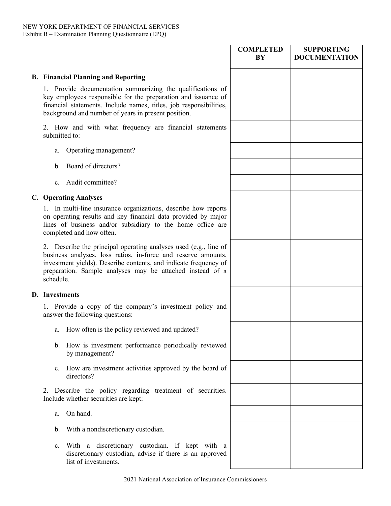|                                                                                                                                                                                                                                                                                 | <b>COMPLETED</b><br>BY | <b>SUPPORTING</b><br><b>DOCUMENTATION</b> |
|---------------------------------------------------------------------------------------------------------------------------------------------------------------------------------------------------------------------------------------------------------------------------------|------------------------|-------------------------------------------|
| <b>B. Financial Planning and Reporting</b>                                                                                                                                                                                                                                      |                        |                                           |
| 1. Provide documentation summarizing the qualifications of<br>key employees responsible for the preparation and issuance of<br>financial statements. Include names, titles, job responsibilities,<br>background and number of years in present position.                        |                        |                                           |
| 2. How and with what frequency are financial statements<br>submitted to:                                                                                                                                                                                                        |                        |                                           |
| Operating management?<br>a.                                                                                                                                                                                                                                                     |                        |                                           |
| Board of directors?<br>b.                                                                                                                                                                                                                                                       |                        |                                           |
| Audit committee?<br>$c_{\cdot}$                                                                                                                                                                                                                                                 |                        |                                           |
| <b>C.</b> Operating Analyses                                                                                                                                                                                                                                                    |                        |                                           |
| In multi-line insurance organizations, describe how reports<br>on operating results and key financial data provided by major<br>lines of business and/or subsidiary to the home office are<br>completed and how often.                                                          |                        |                                           |
| 2. Describe the principal operating analyses used (e.g., line of<br>business analyses, loss ratios, in-force and reserve amounts,<br>investment yields). Describe contents, and indicate frequency of<br>preparation. Sample analyses may be attached instead of a<br>schedule. |                        |                                           |
| D. Investments                                                                                                                                                                                                                                                                  |                        |                                           |
| 1. Provide a copy of the company's investment policy and<br>answer the following questions:                                                                                                                                                                                     |                        |                                           |
| How often is the policy reviewed and updated?<br>a.                                                                                                                                                                                                                             |                        |                                           |
| b. How is investment performance periodically reviewed<br>by management?                                                                                                                                                                                                        |                        |                                           |
| How are investment activities approved by the board of<br>$c_{\cdot}$<br>directors?                                                                                                                                                                                             |                        |                                           |
| Describe the policy regarding treatment of securities.<br>2.<br>Include whether securities are kept:                                                                                                                                                                            |                        |                                           |
| On hand.<br>a.                                                                                                                                                                                                                                                                  |                        |                                           |
| With a nondiscretionary custodian.<br>b.                                                                                                                                                                                                                                        |                        |                                           |
| With a discretionary custodian. If kept with a<br>c.<br>discretionary custodian, advise if there is an approved<br>list of investments.                                                                                                                                         |                        |                                           |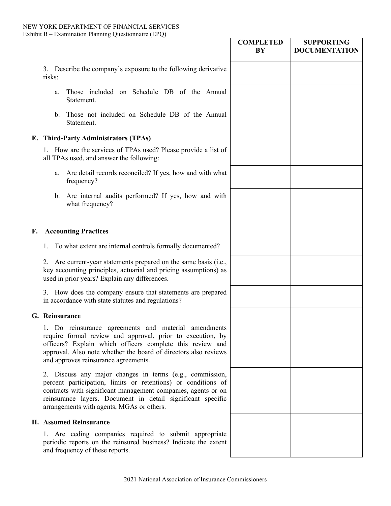|    |                                                                                                                                                                                                                                                                                                        | <b>COMPLETED</b><br>BY | <b>SUPPORTING</b><br><b>DOCUMENTATION</b> |
|----|--------------------------------------------------------------------------------------------------------------------------------------------------------------------------------------------------------------------------------------------------------------------------------------------------------|------------------------|-------------------------------------------|
|    | 3. Describe the company's exposure to the following derivative<br>risks:                                                                                                                                                                                                                               |                        |                                           |
|    | Those included on Schedule DB of the Annual<br>a.<br>Statement.                                                                                                                                                                                                                                        |                        |                                           |
|    | Those not included on Schedule DB of the Annual<br>b.<br>Statement.                                                                                                                                                                                                                                    |                        |                                           |
|    | E. Third-Party Administrators (TPAs)                                                                                                                                                                                                                                                                   |                        |                                           |
|    | 1. How are the services of TPAs used? Please provide a list of<br>all TPAs used, and answer the following:                                                                                                                                                                                             |                        |                                           |
|    | Are detail records reconciled? If yes, how and with what<br>a.<br>frequency?                                                                                                                                                                                                                           |                        |                                           |
|    | b. Are internal audits performed? If yes, how and with<br>what frequency?                                                                                                                                                                                                                              |                        |                                           |
| F. | <b>Accounting Practices</b>                                                                                                                                                                                                                                                                            |                        |                                           |
|    | To what extent are internal controls formally documented?<br>1.                                                                                                                                                                                                                                        |                        |                                           |
|    | 2. Are current-year statements prepared on the same basis (i.e.,<br>key accounting principles, actuarial and pricing assumptions) as<br>used in prior years? Explain any differences.                                                                                                                  |                        |                                           |
|    | 3. How does the company ensure that statements are prepared<br>in accordance with state statutes and regulations?                                                                                                                                                                                      |                        |                                           |
|    | G. Reinsurance                                                                                                                                                                                                                                                                                         |                        |                                           |
|    | 1. Do reinsurance agreements and material amendments<br>require formal review and approval, prior to execution, by<br>officers? Explain which officers complete this review and<br>approval. Also note whether the board of directors also reviews<br>and approves reinsurance agreements.             |                        |                                           |
|    | 2. Discuss any major changes in terms (e.g., commission,<br>percent participation, limits or retentions) or conditions of<br>contracts with significant management companies, agents or on<br>reinsurance layers. Document in detail significant specific<br>arrangements with agents, MGAs or others. |                        |                                           |
|    | H. Assumed Reinsurance                                                                                                                                                                                                                                                                                 |                        |                                           |
|    | 1. Are ceding companies required to submit appropriate<br>periodic reports on the reinsured business? Indicate the extent<br>and frequency of these reports.                                                                                                                                           |                        |                                           |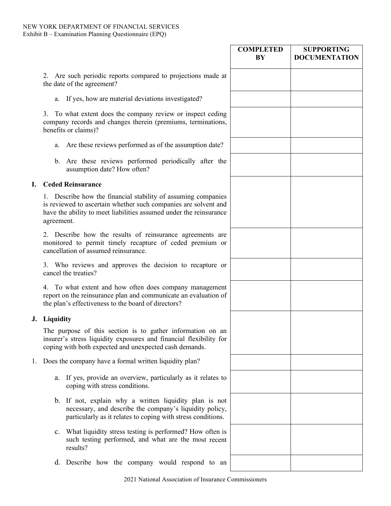**J. Liquidity**

|    |                                                                                                                                                                                                                      | <b>COMPLETED</b><br>BY | <b>SUPPORTING</b><br><b>DOCUMENTATION</b> |
|----|----------------------------------------------------------------------------------------------------------------------------------------------------------------------------------------------------------------------|------------------------|-------------------------------------------|
|    | 2. Are such periodic reports compared to projections made at<br>the date of the agreement?                                                                                                                           |                        |                                           |
|    | If yes, how are material deviations investigated?<br>a.                                                                                                                                                              |                        |                                           |
|    | To what extent does the company review or inspect ceding<br>3.<br>company records and changes therein (premiums, terminations,<br>benefits or claims)?                                                               |                        |                                           |
|    | a. Are these reviews performed as of the assumption date?                                                                                                                                                            |                        |                                           |
|    | b. Are these reviews performed periodically after the<br>assumption date? How often?                                                                                                                                 |                        |                                           |
| I. | <b>Ceded Reinsurance</b>                                                                                                                                                                                             |                        |                                           |
|    | 1. Describe how the financial stability of assuming companies<br>is reviewed to ascertain whether such companies are solvent and<br>have the ability to meet liabilities assumed under the reinsurance<br>agreement. |                        |                                           |
|    | Describe how the results of reinsurance agreements are<br>monitored to permit timely recapture of ceded premium or<br>cancellation of assumed reinsurance.                                                           |                        |                                           |
|    | 3. Who reviews and approves the decision to recapture or<br>cancel the treaties?                                                                                                                                     |                        |                                           |
|    | 4. To what extent and how often does company management<br>report on the reinsurance plan and communicate an evaluation of<br>the plan's effectiveness to the board of directors?                                    |                        |                                           |
|    | J. Liquidity                                                                                                                                                                                                         |                        |                                           |
|    | The purpose of this section is to gather information on an<br>insurer's stress liquidity exposures and financial flexibility for<br>coping with both expected and unexpected cash demands.                           |                        |                                           |
| 1. | Does the company have a formal written liquidity plan?                                                                                                                                                               |                        |                                           |
|    | If yes, provide an overview, particularly as it relates to<br>a.<br>coping with stress conditions.                                                                                                                   |                        |                                           |
|    | b. If not, explain why a written liquidity plan is not<br>necessary, and describe the company's liquidity policy,<br>particularly as it relates to coping with stress conditions.                                    |                        |                                           |
|    | What liquidity stress testing is performed? How often is<br>$\mathbf{c}$ .<br>such testing performed, and what are the most recent<br>results?                                                                       |                        |                                           |
|    | d. Describe how the company would respond to an                                                                                                                                                                      |                        |                                           |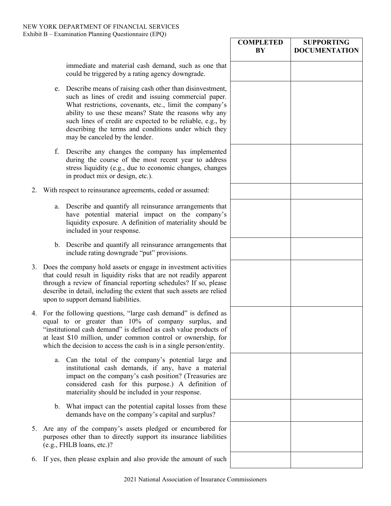|    |    |                                                                                                                                                                                                                                                                                                                                                                                               | <b>COMPLETED</b><br>BY | <b>SUPPORTING</b><br><b>DOCUMENTATION</b> |
|----|----|-----------------------------------------------------------------------------------------------------------------------------------------------------------------------------------------------------------------------------------------------------------------------------------------------------------------------------------------------------------------------------------------------|------------------------|-------------------------------------------|
|    |    | immediate and material cash demand, such as one that<br>could be triggered by a rating agency downgrade.                                                                                                                                                                                                                                                                                      |                        |                                           |
|    | e. | Describe means of raising cash other than disinvestment,<br>such as lines of credit and issuing commercial paper.<br>What restrictions, covenants, etc., limit the company's<br>ability to use these means? State the reasons why any<br>such lines of credit are expected to be reliable, e.g., by<br>describing the terms and conditions under which they<br>may be canceled by the lender. |                        |                                           |
|    | f. | Describe any changes the company has implemented<br>during the course of the most recent year to address<br>stress liquidity (e.g., due to economic changes, changes<br>in product mix or design, etc.).                                                                                                                                                                                      |                        |                                           |
| 2. |    | With respect to reinsurance agreements, ceded or assumed:                                                                                                                                                                                                                                                                                                                                     |                        |                                           |
|    | a. | Describe and quantify all reinsurance arrangements that<br>have potential material impact on the company's<br>liquidity exposure. A definition of materiality should be<br>included in your response.                                                                                                                                                                                         |                        |                                           |
|    |    | b. Describe and quantify all reinsurance arrangements that<br>include rating downgrade "put" provisions.                                                                                                                                                                                                                                                                                      |                        |                                           |
|    |    | 3. Does the company hold assets or engage in investment activities<br>that could result in liquidity risks that are not readily apparent<br>through a review of financial reporting schedules? If so, please<br>describe in detail, including the extent that such assets are relied<br>upon to support demand liabilities.                                                                   |                        |                                           |
|    |    | 4. For the following questions, "large cash demand" is defined as<br>equal to or greater than 10% of company surplus, and<br>"institutional cash demand" is defined as cash value products of<br>at least \$10 million, under common control or ownership, for<br>which the decision to access the cash is in a single person/entity.                                                         |                        |                                           |
|    | a. | Can the total of the company's potential large and<br>institutional cash demands, if any, have a material<br>impact on the company's cash position? (Treasuries are<br>considered cash for this purpose.) A definition of<br>materiality should be included in your response.                                                                                                                 |                        |                                           |
|    |    | b. What impact can the potential capital losses from these<br>demands have on the company's capital and surplus?                                                                                                                                                                                                                                                                              |                        |                                           |
| 5. |    | Are any of the company's assets pledged or encumbered for<br>purposes other than to directly support its insurance liabilities<br>(e.g., FHLB loans, etc.)?                                                                                                                                                                                                                                   |                        |                                           |
|    |    | 6. If yes, then please explain and also provide the amount of such                                                                                                                                                                                                                                                                                                                            |                        |                                           |
|    |    |                                                                                                                                                                                                                                                                                                                                                                                               |                        |                                           |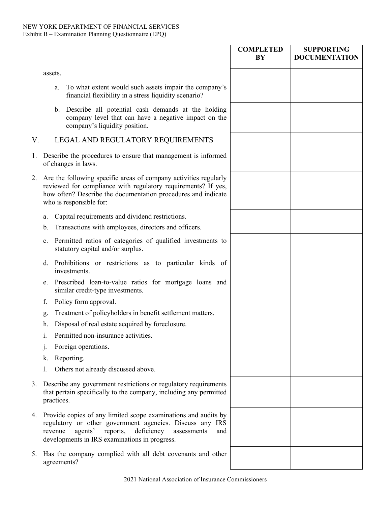|    |                                                                                                                                                                                                                                                   | <b>COMPLETED</b><br>BY | <b>SUPPORTING</b><br><b>DOCUMENTATION</b> |
|----|---------------------------------------------------------------------------------------------------------------------------------------------------------------------------------------------------------------------------------------------------|------------------------|-------------------------------------------|
|    | assets.                                                                                                                                                                                                                                           |                        |                                           |
|    | To what extent would such assets impair the company's<br>a.<br>financial flexibility in a stress liquidity scenario?                                                                                                                              |                        |                                           |
|    | b. Describe all potential cash demands at the holding<br>company level that can have a negative impact on the<br>company's liquidity position.                                                                                                    |                        |                                           |
| V. | LEGAL AND REGULATORY REQUIREMENTS                                                                                                                                                                                                                 |                        |                                           |
| 1. | Describe the procedures to ensure that management is informed<br>of changes in laws.                                                                                                                                                              |                        |                                           |
| 2. | Are the following specific areas of company activities regularly<br>reviewed for compliance with regulatory requirements? If yes,<br>how often? Describe the documentation procedures and indicate<br>who is responsible for:                     |                        |                                           |
|    | Capital requirements and dividend restrictions.<br>a.                                                                                                                                                                                             |                        |                                           |
|    | Transactions with employees, directors and officers.<br>b.                                                                                                                                                                                        |                        |                                           |
|    | Permitted ratios of categories of qualified investments to<br>c.<br>statutory capital and/or surplus.                                                                                                                                             |                        |                                           |
|    | Prohibitions or restrictions as to particular kinds of<br>d.<br>investments.                                                                                                                                                                      |                        |                                           |
|    | Prescribed loan-to-value ratios for mortgage loans and<br>e.<br>similar credit-type investments.                                                                                                                                                  |                        |                                           |
|    | Policy form approval.<br>f.                                                                                                                                                                                                                       |                        |                                           |
|    | Treatment of policyholders in benefit settlement matters.<br>g.                                                                                                                                                                                   |                        |                                           |
|    | Disposal of real estate acquired by foreclosure.<br>h.                                                                                                                                                                                            |                        |                                           |
|    | Permitted non-insurance activities.<br>1.                                                                                                                                                                                                         |                        |                                           |
|    | Foreign operations.<br>1.                                                                                                                                                                                                                         |                        |                                           |
|    | Reporting.<br>k.                                                                                                                                                                                                                                  |                        |                                           |
|    | Others not already discussed above.                                                                                                                                                                                                               |                        |                                           |
| 3. | Describe any government restrictions or regulatory requirements<br>that pertain specifically to the company, including any permitted<br>practices.                                                                                                |                        |                                           |
| 4. | Provide copies of any limited scope examinations and audits by<br>regulatory or other government agencies. Discuss any IRS<br>deficiency<br>revenue<br>agents'<br>reports,<br>assessments<br>and<br>developments in IRS examinations in progress. |                        |                                           |
| 5. | Has the company complied with all debt covenants and other<br>agreements?                                                                                                                                                                         |                        |                                           |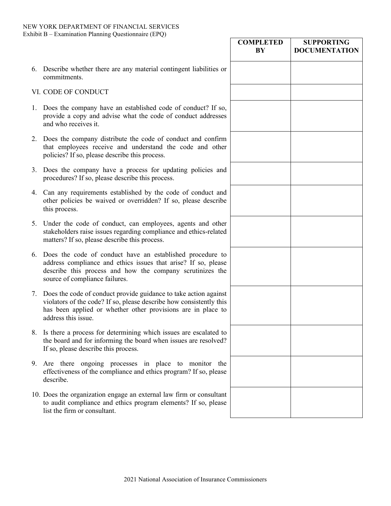|    |                                                                                                                                                                                                                                | <b>COMPLETED</b><br>BY | <b>SUPPORTING</b><br><b>DOCUMENTATION</b> |
|----|--------------------------------------------------------------------------------------------------------------------------------------------------------------------------------------------------------------------------------|------------------------|-------------------------------------------|
|    | 6. Describe whether there are any material contingent liabilities or<br>commitments.                                                                                                                                           |                        |                                           |
|    | VI. CODE OF CONDUCT                                                                                                                                                                                                            |                        |                                           |
|    | 1. Does the company have an established code of conduct? If so,<br>provide a copy and advise what the code of conduct addresses<br>and who receives it.                                                                        |                        |                                           |
|    | 2. Does the company distribute the code of conduct and confirm<br>that employees receive and understand the code and other<br>policies? If so, please describe this process.                                                   |                        |                                           |
|    | 3. Does the company have a process for updating policies and<br>procedures? If so, please describe this process.                                                                                                               |                        |                                           |
|    | 4. Can any requirements established by the code of conduct and<br>other policies be waived or overridden? If so, please describe<br>this process.                                                                              |                        |                                           |
|    | 5. Under the code of conduct, can employees, agents and other<br>stakeholders raise issues regarding compliance and ethics-related<br>matters? If so, please describe this process.                                            |                        |                                           |
|    | 6. Does the code of conduct have an established procedure to<br>address compliance and ethics issues that arise? If so, please<br>describe this process and how the company scrutinizes the<br>source of compliance failures.  |                        |                                           |
| 7. | Does the code of conduct provide guidance to take action against<br>violators of the code? If so, please describe how consistently this<br>has been applied or whether other provisions are in place to<br>address this issue. |                        |                                           |
|    | 8. Is there a process for determining which issues are escalated to<br>the board and for informing the board when issues are resolved?<br>If so, please describe this process.                                                 |                        |                                           |
| 9. | Are there ongoing processes in place to monitor the<br>effectiveness of the compliance and ethics program? If so, please<br>describe.                                                                                          |                        |                                           |
|    | 10. Does the organization engage an external law firm or consultant<br>to audit compliance and ethics program elements? If so, please<br>list the firm or consultant.                                                          |                        |                                           |